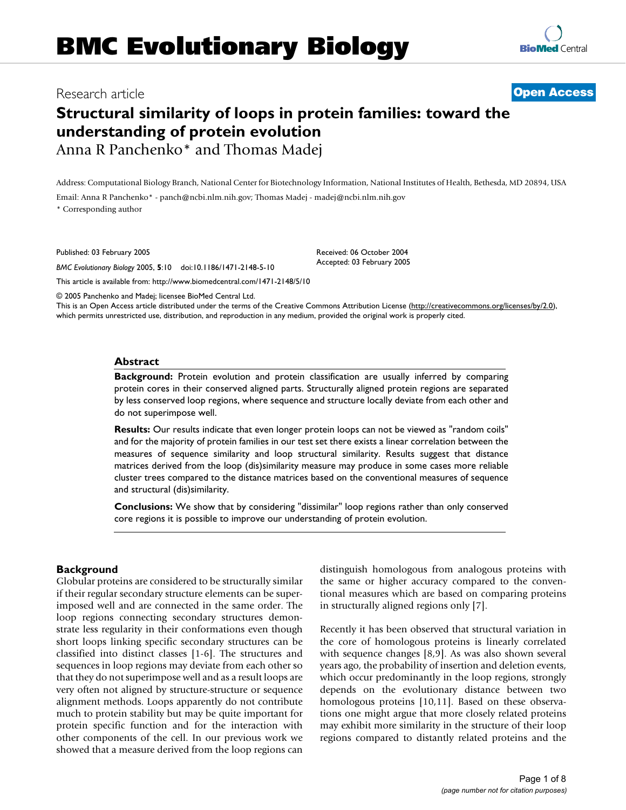# **Structural similarity of loops in protein families: toward the understanding of protein evolution** Anna R Panchenko\* and Thomas Madej

Address: Computational Biology Branch, National Center for Biotechnology Information, National Institutes of Health, Bethesda, MD 20894, USA

Received: 06 October 2004 Accepted: 03 February 2005

Email: Anna R Panchenko\* - panch@ncbi.nlm.nih.gov; Thomas Madej - madej@ncbi.nlm.nih.gov

\* Corresponding author

Published: 03 February 2005

*BMC Evolutionary Biology* 2005, **5**:10 doi:10.1186/1471-2148-5-10

[This article is available from: http://www.biomedcentral.com/1471-2148/5/10](http://www.biomedcentral.com/1471-2148/5/10)

© 2005 Panchenko and Madej; licensee BioMed Central Ltd.

This is an Open Access article distributed under the terms of the Creative Commons Attribution License [\(http://creativecommons.org/licenses/by/2.0\)](http://creativecommons.org/licenses/by/2.0), which permits unrestricted use, distribution, and reproduction in any medium, provided the original work is properly cited.

### **Abstract**

**Background:** Protein evolution and protein classification are usually inferred by comparing protein cores in their conserved aligned parts. Structurally aligned protein regions are separated by less conserved loop regions, where sequence and structure locally deviate from each other and do not superimpose well.

**Results:** Our results indicate that even longer protein loops can not be viewed as "random coils" and for the majority of protein families in our test set there exists a linear correlation between the measures of sequence similarity and loop structural similarity. Results suggest that distance matrices derived from the loop (dis)similarity measure may produce in some cases more reliable cluster trees compared to the distance matrices based on the conventional measures of sequence and structural (dis)similarity.

**Conclusions:** We show that by considering "dissimilar" loop regions rather than only conserved core regions it is possible to improve our understanding of protein evolution.

### **Background**

Globular proteins are considered to be structurally similar if their regular secondary structure elements can be superimposed well and are connected in the same order. The loop regions connecting secondary structures demonstrate less regularity in their conformations even though short loops linking specific secondary structures can be classified into distinct classes [1-6]. The structures and sequences in loop regions may deviate from each other so that they do not superimpose well and as a result loops are very often not aligned by structure-structure or sequence alignment methods. Loops apparently do not contribute much to protein stability but may be quite important for protein specific function and for the interaction with other components of the cell. In our previous work we showed that a measure derived from the loop regions can distinguish homologous from analogous proteins with the same or higher accuracy compared to the conventional measures which are based on comparing proteins in structurally aligned regions only [7].

Recently it has been observed that structural variation in the core of homologous proteins is linearly correlated with sequence changes [8,9]. As was also shown several years ago, the probability of insertion and deletion events, which occur predominantly in the loop regions, strongly depends on the evolutionary distance between two homologous proteins [10,11]. Based on these observations one might argue that more closely related proteins may exhibit more similarity in the structure of their loop regions compared to distantly related proteins and the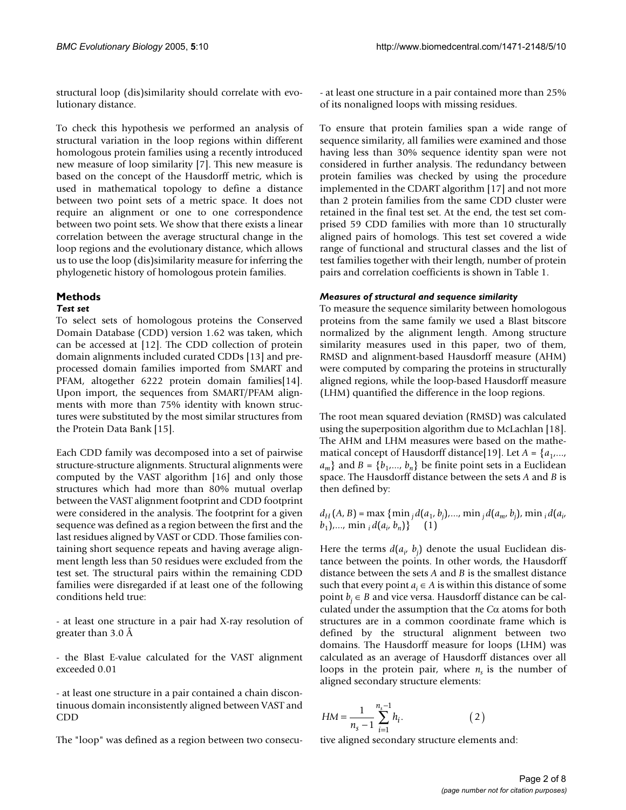structural loop (dis)similarity should correlate with evolutionary distance.

To check this hypothesis we performed an analysis of structural variation in the loop regions within different homologous protein families using a recently introduced new measure of loop similarity [7]. This new measure is based on the concept of the Hausdorff metric, which is used in mathematical topology to define a distance between two point sets of a metric space. It does not require an alignment or one to one correspondence between two point sets. We show that there exists a linear correlation between the average structural change in the loop regions and the evolutionary distance, which allows us to use the loop (dis)similarity measure for inferring the phylogenetic history of homologous protein families.

# **Methods**

# *Test set*

To select sets of homologous proteins the Conserved Domain Database (CDD) version 1.62 was taken, which can be accessed at [12]. The CDD collection of protein domain alignments included curated CDDs [13] and preprocessed domain families imported from SMART and PFAM, altogether 6222 protein domain families[14]. Upon import, the sequences from SMART/PFAM alignments with more than 75% identity with known structures were substituted by the most similar structures from the Protein Data Bank [15].

Each CDD family was decomposed into a set of pairwise structure-structure alignments. Structural alignments were computed by the VAST algorithm [16] and only those structures which had more than 80% mutual overlap between the VAST alignment footprint and CDD footprint were considered in the analysis. The footprint for a given sequence was defined as a region between the first and the last residues aligned by VAST or CDD. Those families containing short sequence repeats and having average alignment length less than 50 residues were excluded from the test set. The structural pairs within the remaining CDD families were disregarded if at least one of the following conditions held true:

- at least one structure in a pair had X-ray resolution of greater than 3.0 Å

- the Blast E-value calculated for the VAST alignment exceeded 0.01

- at least one structure in a pair contained a chain discontinuous domain inconsistently aligned between VAST and CDD

The "loop" was defined as a region between two consecu- tive aligned secondary structure elements and:

- at least one structure in a pair contained more than 25% of its nonaligned loops with missing residues.

To ensure that protein families span a wide range of sequence similarity, all families were examined and those having less than 30% sequence identity span were not considered in further analysis. The redundancy between protein families was checked by using the procedure implemented in the CDART algorithm [17] and not more than 2 protein families from the same CDD cluster were retained in the final test set. At the end, the test set comprised 59 CDD families with more than 10 structurally aligned pairs of homologs. This test set covered a wide range of functional and structural classes and the list of test families together with their length, number of protein pairs and correlation coefficients is shown in Table [1.](#page-2-0)

# *Measures of structural and sequence similarity*

To measure the sequence similarity between homologous proteins from the same family we used a Blast bitscore normalized by the alignment length. Among structure similarity measures used in this paper, two of them, RMSD and alignment-based Hausdorff measure (AHM) were computed by comparing the proteins in structurally aligned regions, while the loop-based Hausdorff measure (LHM) quantified the difference in the loop regions.

The root mean squared deviation (RMSD) was calculated using the superposition algorithm due to McLachlan [18]. The AHM and LHM measures were based on the mathematical concept of Hausdorff distance[19]. Let  $A = \{a_1, \ldots, a_n\}$  $a_m$ } and *B* = { $b_1$ ,...,  $b_n$ } be finite point sets in a Euclidean space. The Hausdorff distance between the sets *A* and *B* is then defined by:

 $d_H(A, B) = \max \{ \min_j d(a_1, b_j), ..., \min_j d(a_m, b_j), \min_i d(a_i, b_j) \}$  $b_1$ ),..., min <sub>*i*</sub>  $d(a_i, b_n)$ } (1)

Here the terms  $d(a_i, b_j)$  denote the usual Euclidean distance between the points. In other words, the Hausdorff distance between the sets *A* and *B* is the smallest distance such that every point  $a_i \in A$  is within this distance of some point *bj* ∈ *B* and vice versa. Hausdorff distance can be calculated under the assumption that the *C*α atoms for both structures are in a common coordinate frame which is defined by the structural alignment between two domains. The Hausdorff measure for loops (LHM) was calculated as an average of Hausdorff distances over all loops in the protein pair, where  $n<sub>s</sub>$  is the number of aligned secondary structure elements:

$$
HM = \frac{1}{n_s - 1} \sum_{i=1}^{n_s - 1} h_i.
$$
 (2)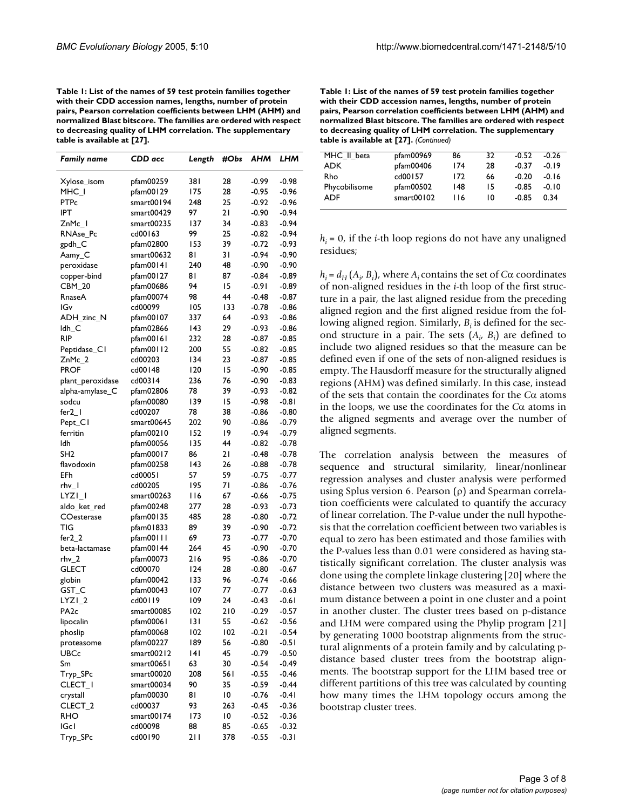<span id="page-2-0"></span>**Table 1: List of the names of 59 test protein families together with their CDD accession names, lengths, number of protein pairs, Pearson correlation coefficients between LHM (AHM) and normalized Blast bitscore. The families are ordered with respect to decreasing quality of LHM correlation. The supplementary table is available at [27].**

| <b>Family name</b> | CDD acc    | Length     | #Obs | AHM     | LHM     |
|--------------------|------------|------------|------|---------|---------|
| Xylose_isom        | pfam00259  | 38 I       | 28   | -0.99   | $-0.98$ |
| MHC I              | pfam00129  | 175        | 28   | -0.95   | -0.96   |
| <b>PTPc</b>        | smart00194 | 248        | 25   | $-0.92$ | $-0.96$ |
| <b>IPT</b>         | smart00429 | 97         | 21   | $-0.90$ | $-0.94$ |
| ZnMc_l             | smart00235 | 137        | 34   | $-0.83$ | $-0.94$ |
| RNAse_Pc           | cd00163    | 99         | 25   | $-0.82$ | $-0.94$ |
| gpdh_C             | pfam02800  | 153        | 39   | $-0.72$ | $-0.93$ |
| Aamy_C             | smart00632 | 81         | 31   | $-0.94$ | $-0.90$ |
| peroxidase         | pfam00141  | 240        | 48   | $-0.90$ | $-0.90$ |
| copper-bind        | pfam00127  | 81         | 87   | $-0.84$ | $-0.89$ |
| CBM_20             | pfam00686  | 94         | 15   | $-0.91$ | $-0.89$ |
| RnaseA             | pfam00074  | 98         | 44   | $-0.48$ | $-0.87$ |
| lGv                | cd00099    | 105        | 133  | $-0.78$ | $-0.86$ |
| ADH_zinc_N         | pfam00107  | 337        | 64   | $-0.93$ | $-0.86$ |
|                    | pfam02866  | 143        | 29   | -0.93   | $-0.86$ |
| ldh_C<br>RIP       |            |            |      |         |         |
|                    | pfam00161  | 232        | 28   | $-0.87$ | $-0.85$ |
| Peptidase_C1       | pfam00112  | 200<br>134 | 55   | $-0.82$ | $-0.85$ |
| ZnMc_2             | cd00203    |            | 23   | $-0.87$ | $-0.85$ |
| <b>PROF</b>        | cd00148    | 120        | 15   | $-0.90$ | $-0.85$ |
| plant_peroxidase   | cd00314    | 236        | 76   | $-0.90$ | $-0.83$ |
| alpha-amylase_C    | pfam02806  | 78         | 39   | $-0.93$ | $-0.82$ |
| sodcu              | pfam00080  | 139        | 15   | $-0.98$ | $-0.81$ |
| fer2 <sub>1</sub>  | cd00207    | 78         | 38   | $-0.86$ | $-0.80$ |
| Pept_CI            | smart00645 | 202        | 90   | $-0.86$ | $-0.79$ |
| ferritin           | pfam00210  | 152        | 19   | $-0.94$ | $-0.79$ |
| ldh                | pfam00056  | 135        | 44   | $-0.82$ | $-0.78$ |
| SH <sub>2</sub>    | pfam00017  | 86         | 21   | $-0.48$ | $-0.78$ |
| flavodoxin         | pfam00258  | 143        | 26   | $-0.88$ | $-0.78$ |
| EFh                | cd00051    | 57         | 59   | $-0.75$ | $-0.77$ |
| $r$ hv_l           | cd00205    | 195        | 71   | $-0.86$ | $-0.76$ |
| $LYZI_I$           | smart00263 | I 16       | 67   | $-0.66$ | $-0.75$ |
| aldo_ket_red       | pfam00248  | 277        | 28   | -0.93   | $-0.73$ |
| COesterase         | pfam00135  | 485        | 28   | $-0.80$ | $-0.72$ |
| TIG                | pfam01833  | 89         | 39   | $-0.90$ | $-0.72$ |
| $fer2_2$           | pfam00111  | 69         | 73   | $-0.77$ | $-0.70$ |
| beta-lactamase     | pfam00144  | 264        | 45   | $-0.90$ | $-0.70$ |
| rhv_2              | pfam00073  | 216        | 95   | $-0.86$ | $-0.70$ |
| GLECT              | cd00070    | 124        | 28   | $-0.80$ | $-0.67$ |
| globin             | pfam00042  | 133        | 96   | $-0.74$ | $-0.66$ |
| $GST_C$            | pfam00043  | 107        | 77   | $-0.77$ | -0.63   |
| $LYZI_2$           | cd00119    | 109        | 24   | -0.43   | -0.61   |
| PA2c               | smart00085 | 102        | 210  | -0.29   | $-0.57$ |
| lipocalin          | pfam00061  | 131        | 55   | $-0.62$ | $-0.56$ |
| phoslip            | pfam00068  | 102        | 102  | $-0.21$ | $-0.54$ |
| proteasome         | pfam00227  | 189        | 56   | $-0.80$ | $-0.51$ |
| UBCc               | smart00212 | 141        | 45   | $-0.79$ | $-0.50$ |
| Sm                 | smart00651 | 63         | 30   | $-0.54$ | $-0.49$ |
| Tryp_SPc           | smart00020 | 208        | 56 I | $-0.55$ | $-0.46$ |
| CLECT_I            | smart00034 | 90         | 35   | $-0.59$ | $-0.44$ |
| crystall           | pfam00030  | 81         | 10   | $-0.76$ | $-0.41$ |
| CLECT_2            | cd00037    | 93         | 263  | $-0.45$ | $-0.36$ |
| RHO                | smart00174 | 173        | 10   | $-0.52$ | $-0.36$ |
| Gc                 | cd00098    | 88         | 85   | $-0.65$ | $-0.32$ |
| Tryp_SPc           | cd00190    | 211        | 378  | $-0.55$ | $-0.31$ |

**Table 1: List of the names of 59 test protein families together with their CDD accession names, lengths, number of protein pairs, Pearson correlation coefficients between LHM (AHM) and normalized Blast bitscore. The families are ordered with respect to decreasing quality of LHM correlation. The supplementary table is available at [27].** *(Continued)*

| MHC II beta   | pfam00969  | 86  | 32 | $-0.52$ | $-0.26$ |
|---------------|------------|-----|----|---------|---------|
| ADK           | pfam00406  | 174 | 28 | $-0.37$ | $-0.19$ |
| Rho           | cd00157    | 172 | 66 | $-0.20$ | $-0.16$ |
| Phycobilisome | pfam00502  | 148 | 15 | $-0.85$ | $-0.10$ |
| ADF           | smart00102 | 116 | 10 | $-0.85$ | 0.34    |

 $h_i = 0$ , if the *i*-th loop regions do not have any unaligned residues;

 $h_i = d_H(A_i, B_i)$ , where  $A_i$  contains the set of  $C\alpha$  coordinates of non-aligned residues in the *i*-th loop of the first structure in a pair, the last aligned residue from the preceding aligned region and the first aligned residue from the following aligned region. Similarly,  $B_i$  is defined for the second structure in a pair. The sets (*Ai* , *Bi* ) are defined to include two aligned residues so that the measure can be defined even if one of the sets of non-aligned residues is empty. The Hausdorff measure for the structurally aligned regions (AHM) was defined similarly. In this case, instead of the sets that contain the coordinates for the *C*α atoms in the loops, we use the coordinates for the *C*α atoms in the aligned segments and average over the number of aligned segments.

The correlation analysis between the measures of sequence and structural similarity, linear/nonlinear regression analyses and cluster analysis were performed using Splus version 6. Pearson (ρ) and Spearman correlation coefficients were calculated to quantify the accuracy of linear correlation. The P-value under the null hypothesis that the correlation coefficient between two variables is equal to zero has been estimated and those families with the P-values less than 0.01 were considered as having statistically significant correlation. The cluster analysis was done using the complete linkage clustering [20] where the distance between two clusters was measured as a maximum distance between a point in one cluster and a point in another cluster. The cluster trees based on p-distance and LHM were compared using the Phylip program [21] by generating 1000 bootstrap alignments from the structural alignments of a protein family and by calculating pdistance based cluster trees from the bootstrap alignments. The bootstrap support for the LHM based tree or different partitions of this tree was calculated by counting how many times the LHM topology occurs among the bootstrap cluster trees.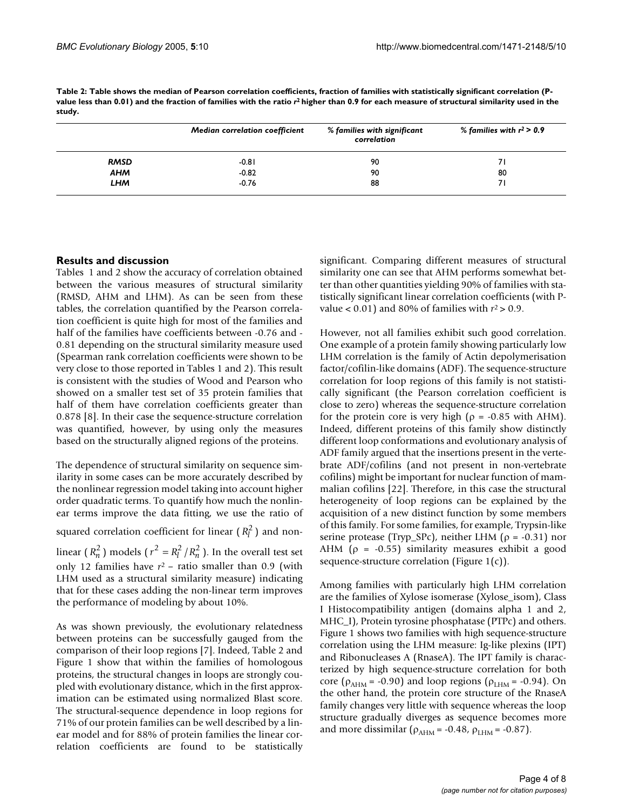| Table 2: Table shows the median of Pearson correlation coefficients, fraction of families with statistically significant correlation (P-      |  |
|-----------------------------------------------------------------------------------------------------------------------------------------------|--|
| value less than 0.01) and the fraction of families with the ratio $r^2$ higher than 0.9 for each measure of structural similarity used in the |  |
| study.                                                                                                                                        |  |

|             | <b>Median correlation coefficient</b> | % families with significant<br>correlation | % families with $r^2 > 0.9$ |
|-------------|---------------------------------------|--------------------------------------------|-----------------------------|
| <b>RMSD</b> | $-0.81$                               | 90                                         |                             |
| <b>AHM</b>  | $-0.82$                               | 90                                         | 80                          |
| <b>LHM</b>  | $-0.76$                               | 88                                         |                             |

### **Results and discussion**

Tables [1](#page-2-0) and 2 show the accuracy of correlation obtained between the various measures of structural similarity (RMSD, AHM and LHM). As can be seen from these tables, the correlation quantified by the Pearson correlation coefficient is quite high for most of the families and half of the families have coefficients between -0.76 and - 0.81 depending on the structural similarity measure used (Spearman rank correlation coefficients were shown to be very close to those reported in Tables [1](#page-2-0) and 2). This result is consistent with the studies of Wood and Pearson who showed on a smaller test set of 35 protein families that half of them have correlation coefficients greater than 0.878 [8]. In their case the sequence-structure correlation was quantified, however, by using only the measures based on the structurally aligned regions of the proteins.

The dependence of structural similarity on sequence similarity in some cases can be more accurately described by the nonlinear regression model taking into account higher order quadratic terms. To quantify how much the nonlinear terms improve the data fitting, we use the ratio of squared correlation coefficient for linear  $(R_l^2)$  and nonlinear ( $R_n^2$ ) models ( $r^2 = R_l^2 / R_n^2$ ). In the overall test set only 12 families have *r*2 – ratio smaller than 0.9 (with LHM used as a structural similarity measure) indicating that for these cases adding the non-linear term improves the performance of modeling by about 10%.

As was shown previously, the evolutionary relatedness between proteins can be successfully gauged from the comparison of their loop regions [7]. Indeed, Table 2 and Figure [1](#page-4-0) show that within the families of homologous proteins, the structural changes in loops are strongly coupled with evolutionary distance, which in the first approximation can be estimated using normalized Blast score. The structural-sequence dependence in loop regions for 71% of our protein families can be well described by a linear model and for 88% of protein families the linear correlation coefficients are found to be statistically significant. Comparing different measures of structural similarity one can see that AHM performs somewhat better than other quantities yielding 90% of families with statistically significant linear correlation coefficients (with Pvalue <  $0.01$ ) and 80% of families with  $r^2 > 0.9$ .

However, not all families exhibit such good correlation. One example of a protein family showing particularly low LHM correlation is the family of Actin depolymerisation factor/cofilin-like domains (ADF). The sequence-structure correlation for loop regions of this family is not statistically significant (the Pearson correlation coefficient is close to zero) whereas the sequence-structure correlation for the protein core is very high ( $\rho = -0.85$  with AHM). Indeed, different proteins of this family show distinctly different loop conformations and evolutionary analysis of ADF family argued that the insertions present in the vertebrate ADF/cofilins (and not present in non-vertebrate cofilins) might be important for nuclear function of mammalian cofilins [22]. Therefore, in this case the structural heterogeneity of loop regions can be explained by the acquisition of a new distinct function by some members of this family. For some families, for example, Trypsin-like serine protease (Tryp\_SPc), neither LHM ( $\rho = -0.31$ ) nor AHM ( $\rho = -0.55$ ) similarity measures exhibit a good sequence-structure correlation (Figure [1](#page-4-0)(c)).

Among families with particularly high LHM correlation are the families of Xylose isomerase (Xylose\_isom), Class I Histocompatibility antigen (domains alpha 1 and 2, MHC\_I), Protein tyrosine phosphatase (PTPc) and others. Figure [1](#page-4-0) shows two families with high sequence-structure correlation using the LHM measure: Ig-like plexins (IPT) and Ribonucleases A (RnaseA). The IPT family is characterized by high sequence-structure correlation for both core ( $\rho_{AHM}$  = -0.90) and loop regions ( $\rho_{LHM}$  = -0.94). On the other hand, the protein core structure of the RnaseA family changes very little with sequence whereas the loop structure gradually diverges as sequence becomes more and more dissimilar ( $\rho_{\text{AHM}}$  = -0.48,  $\rho_{\text{LHM}}$  = -0.87).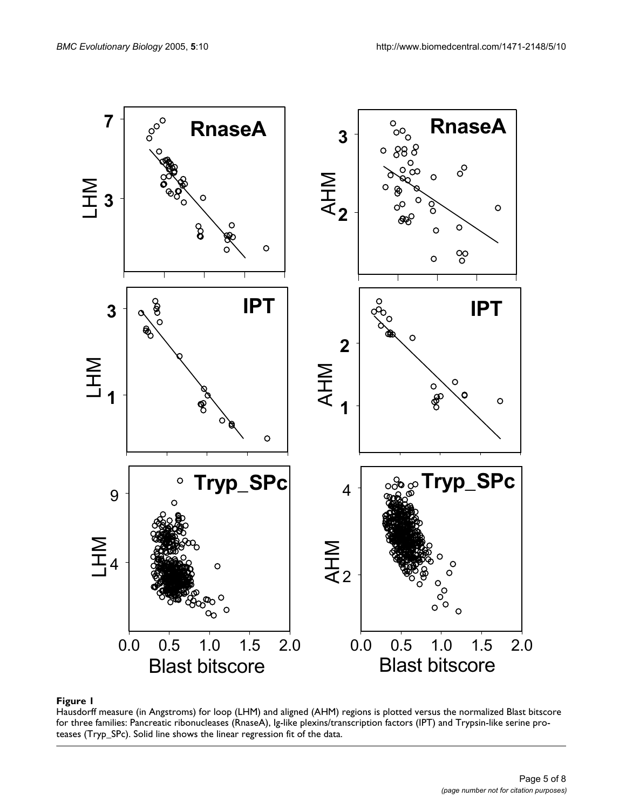<span id="page-4-0"></span>

Figure 1 and 2008 and 2008 and 2008 and 2008 and 2008 and 2008 and 2008 and 2008 and 2008 and 2008 and 2008 an Hausdorff measure (in Angstroms) for loop (LHM) and aligned (AHM) regions is plotted versus the normalized Blast bitscore for three families: Pancreatic ribonucleases (RnaseA), Ig-like plexins/transcription factors (IPT) and Trypsin-like serine proteases (Tryp\_SPc). Solid line shows the linear regression fit of the data.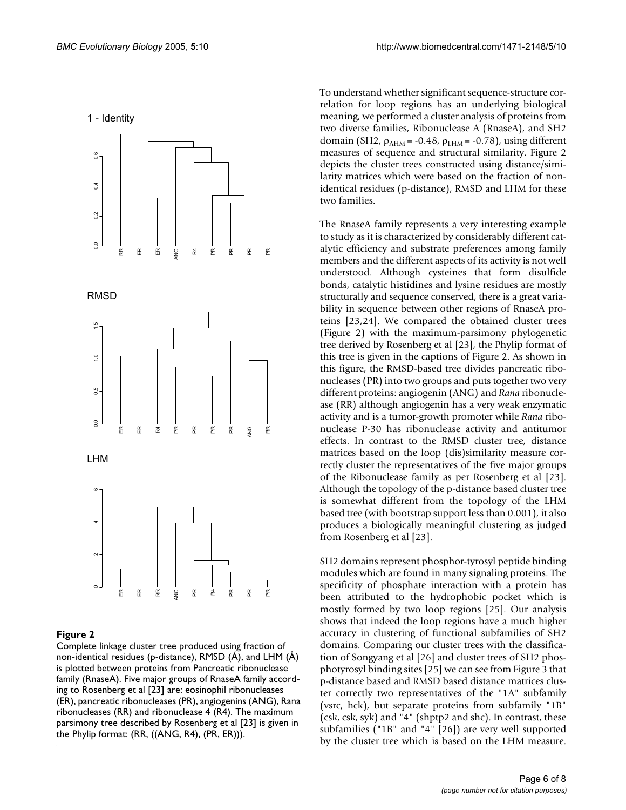



### Figure 2

Complete linkage cluster tree produced using fraction of non-identical residues (p-distance), RMSD (Å), and LHM (Å) is plotted between proteins from Pancreatic ribonuclease family (RnaseA). Five major groups of RnaseA family according to Rosenberg et al [23] are: eosinophil ribonucleases (ER), pancreatic ribonucleases (PR), angiogenins (ANG), Rana ribonucleases (RR) and ribonuclease 4 (R4). The maximum parsimony tree described by Rosenberg et al [23] is given in

To understand whether significant sequence-structure correlation for loop regions has an underlying biological meaning, we performed a cluster analysis of proteins from two diverse families, Ribonuclease A (RnaseA), and SH2 domain (SH2,  $\rho_{\text{AHM}}$  = -0.48,  $\rho_{\text{LHM}}$  = -0.78), using different measures of sequence and structural similarity. Figure 2 depicts the cluster trees constructed using distance/similarity matrices which were based on the fraction of nonidentical residues (p-distance), RMSD and LHM for these two families.

The RnaseA family represents a very interesting example to study as it is characterized by considerably different catalytic efficiency and substrate preferences among family members and the different aspects of its activity is not well understood. Although cysteines that form disulfide bonds, catalytic histidines and lysine residues are mostly structurally and sequence conserved, there is a great variability in sequence between other regions of RnaseA proteins [23,24]. We compared the obtained cluster trees (Figure 2) with the maximum-parsimony phylogenetic tree derived by Rosenberg et al [23], the Phylip format of this tree is given in the captions of Figure 2. As shown in this figure, the RMSD-based tree divides pancreatic ribonucleases (PR) into two groups and puts together two very different proteins: angiogenin (ANG) and *Rana* ribonuclease (RR) although angiogenin has a very weak enzymatic activity and is a tumor-growth promoter while *Rana* ribonuclease P-30 has ribonuclease activity and antitumor effects. In contrast to the RMSD cluster tree, distance matrices based on the loop (dis)similarity measure correctly cluster the representatives of the five major groups of the Ribonuclease family as per Rosenberg et al [23]. Although the topology of the p-distance based cluster tree is somewhat different from the topology of the LHM based tree (with bootstrap support less than 0.001), it also produces a biologically meaningful clustering as judged from Rosenberg et al [23].

SH2 domains represent phosphor-tyrosyl peptide binding modules which are found in many signaling proteins. The specificity of phosphate interaction with a protein has been attributed to the hydrophobic pocket which is mostly formed by two loop regions [25]. Our analysis shows that indeed the loop regions have a much higher accuracy in clustering of functional subfamilies of SH2 domains. Comparing our cluster trees with the classification of Songyang et al [26] and cluster trees of SH2 phosphotyrosyl binding sites [25] we can see from Figure 3 that p-distance based and RMSD based distance matrices cluster correctly two representatives of the "1A" subfamily (vsrc, hck), but separate proteins from subfamily "1B" (csk, csk, syk) and "4" (shptp2 and shc). In contrast, these subfamilies ("1B" and "4" [26]) are very well supported by the cluster tree which is based on the LHM measure.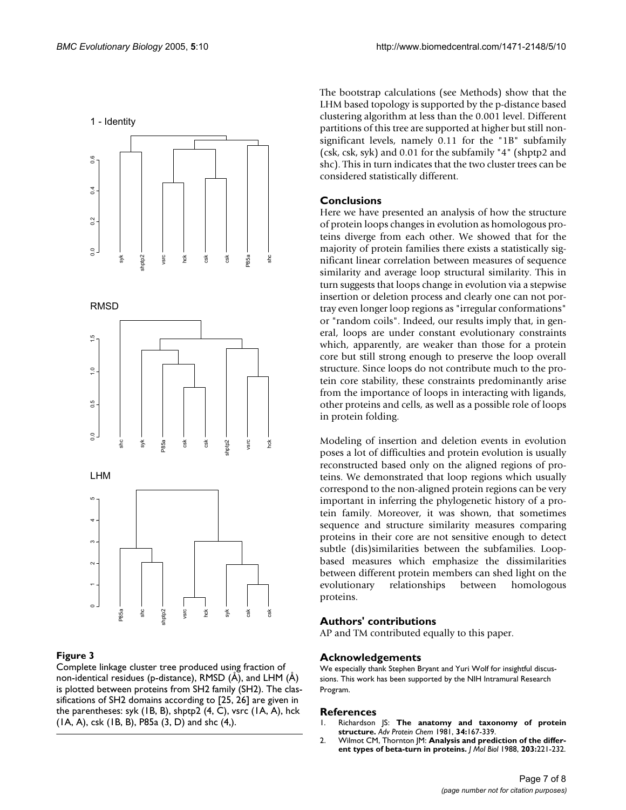



### Figure 3

Complete linkage cluster tree produced using fraction of non-identical residues (p-distance), RMSD (Å), and LHM (Å) is plotted between proteins from SH2 family (SH2). The classifications of SH2 domains according to [25, 26] are given in the parentheses: syk (1B, B), shptp2 (4, C), vsrc (1A, A), hck (1A, A), csk (1B, B), P85a (3, D) and shc (4,).

The bootstrap calculations (see Methods) show that the LHM based topology is supported by the p-distance based clustering algorithm at less than the 0.001 level. Different partitions of this tree are supported at higher but still nonsignificant levels, namely 0.11 for the "1B" subfamily (csk, csk, syk) and 0.01 for the subfamily "4" (shptp2 and shc). This in turn indicates that the two cluster trees can be considered statistically different.

### **Conclusions**

Here we have presented an analysis of how the structure of protein loops changes in evolution as homologous proteins diverge from each other. We showed that for the majority of protein families there exists a statistically significant linear correlation between measures of sequence similarity and average loop structural similarity. This in turn suggests that loops change in evolution via a stepwise insertion or deletion process and clearly one can not portray even longer loop regions as "irregular conformations" or "random coils". Indeed, our results imply that, in general, loops are under constant evolutionary constraints which, apparently, are weaker than those for a protein core but still strong enough to preserve the loop overall structure. Since loops do not contribute much to the protein core stability, these constraints predominantly arise from the importance of loops in interacting with ligands, other proteins and cells, as well as a possible role of loops in protein folding.

Modeling of insertion and deletion events in evolution poses a lot of difficulties and protein evolution is usually reconstructed based only on the aligned regions of proteins. We demonstrated that loop regions which usually correspond to the non-aligned protein regions can be very important in inferring the phylogenetic history of a protein family. Moreover, it was shown, that sometimes sequence and structure similarity measures comparing proteins in their core are not sensitive enough to detect subtle (dis)similarities between the subfamilies. Loopbased measures which emphasize the dissimilarities between different protein members can shed light on the evolutionary relationships between homologous proteins.

### **Authors' contributions**

AP and TM contributed equally to this paper.

### **Acknowledgements**

We especially thank Stephen Bryant and Yuri Wolf for insightful discussions. This work has been supported by the NIH Intramural Research Program.

### **References**

- 1. Richardson JS: **[The anatomy and taxonomy of protein](http://www.ncbi.nlm.nih.gov/entrez/query.fcgi?cmd=Retrieve&db=PubMed&dopt=Abstract&list_uids=7020376) [structure.](http://www.ncbi.nlm.nih.gov/entrez/query.fcgi?cmd=Retrieve&db=PubMed&dopt=Abstract&list_uids=7020376)** *Adv Protein Chem* 1981, **34:**167-339.
- 2. Wilmot CM, Thornton JM: **[Analysis and prediction of the differ](http://www.ncbi.nlm.nih.gov/entrez/query.fcgi?cmd=Retrieve&db=PubMed&dopt=Abstract&list_uids=3184187)[ent types of beta-turn in proteins.](http://www.ncbi.nlm.nih.gov/entrez/query.fcgi?cmd=Retrieve&db=PubMed&dopt=Abstract&list_uids=3184187)** *J Mol Biol* 1988, **203:**221-232.